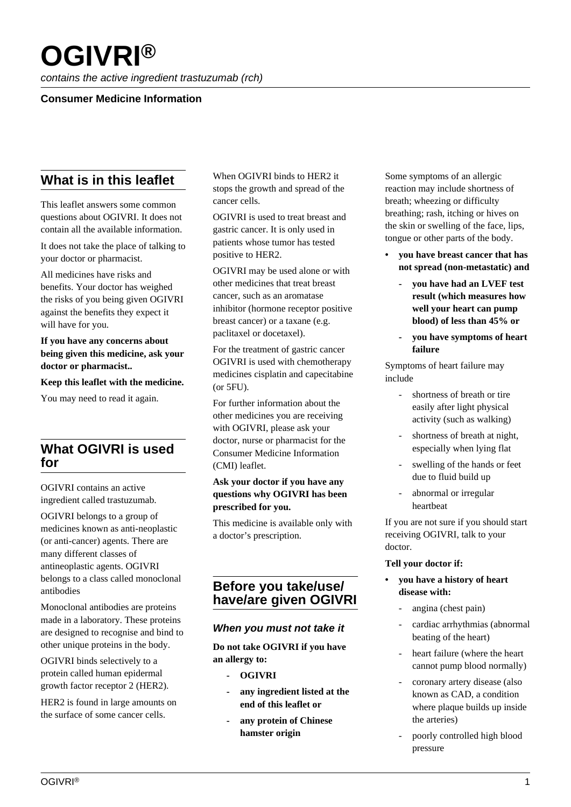# **OGIVRI®**

contains the active ingredient trastuzumab (rch)

## **Consumer Medicine Information**

# **What is in this leaflet**

This leaflet answers some common questions about OGIVRI. It does not contain all the available information.

It does not take the place of talking to your doctor or pharmacist.

All medicines have risks and benefits. Your doctor has weighed the risks of you being given OGIVRI against the benefits they expect it will have for you.

### **If you have any concerns about being given this medicine, ask your doctor or pharmacist..**

**Keep this leaflet with the medicine.**

You may need to read it again.

## **What OGIVRI is used for**

OGIVRI contains an active ingredient called trastuzumab.

OGIVRI belongs to a group of medicines known as anti-neoplastic (or anti-cancer) agents. There are many different classes of antineoplastic agents. OGIVRI belongs to a class called monoclonal antibodies

Monoclonal antibodies are proteins made in a laboratory. These proteins are designed to recognise and bind to other unique proteins in the body.

OGIVRI binds selectively to a protein called human epidermal growth factor receptor 2 (HER2).

HER2 is found in large amounts on the surface of some cancer cells.

When OGIVRI binds to HER2 it stops the growth and spread of the cancer cells.

OGIVRI is used to treat breast and gastric cancer. It is only used in patients whose tumor has tested positive to HER2.

OGIVRI may be used alone or with other medicines that treat breast cancer, such as an aromatase inhibitor (hormone receptor positive breast cancer) or a taxane (e.g. paclitaxel or docetaxel).

For the treatment of gastric cancer OGIVRI is used with chemotherapy medicines cisplatin and capecitabine (or 5FU).

For further information about the other medicines you are receiving with OGIVRI, please ask your doctor, nurse or pharmacist for the Consumer Medicine Information (CMI) leaflet.

### **Ask your doctor if you have any questions why OGIVRI has been prescribed for you.**

This medicine is available only with a doctor's prescription.

## **Before you take/use/ have/are given OGIVRI**

## **When you must not take it**

**Do not take OGIVRI if you have an allergy to:**

- **OGIVRI**
- **any ingredient listed at the end of this leaflet or**
- **any protein of Chinese hamster origin**

Some symptoms of an allergic reaction may include shortness of breath; wheezing or difficulty breathing; rash, itching or hives on the skin or swelling of the face, lips, tongue or other parts of the body.

- **you have breast cancer that has not spread (non-metastatic) and**
	- **you have had an LVEF test result (which measures how well your heart can pump blood) of less than 45% or**
	- **you have symptoms of heart failure**

Symptoms of heart failure may include

- shortness of breath or tire easily after light physical activity (such as walking)
- shortness of breath at night, especially when lying flat
- swelling of the hands or feet due to fluid build up
- abnormal or irregular heartbeat

If you are not sure if you should start receiving OGIVRI, talk to your doctor.

#### **Tell your doctor if:**

- **you have a history of heart disease with:**
	- angina (chest pain)
	- cardiac arrhythmias (abnormal beating of the heart)
	- heart failure (where the heart cannot pump blood normally)
	- coronary artery disease (also known as CAD, a condition where plaque builds up inside the arteries)
	- poorly controlled high blood pressure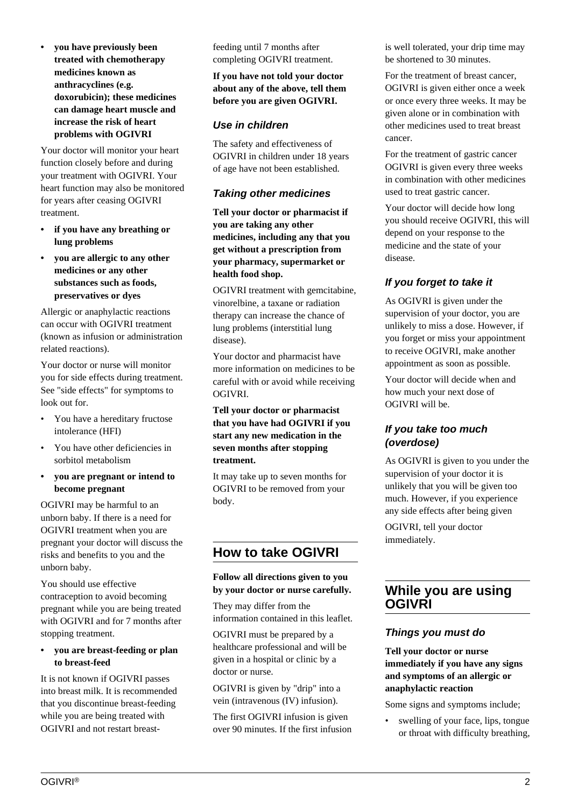**• you have previously been treated with chemotherapy medicines known as anthracyclines (e.g. doxorubicin); these medicines can damage heart muscle and increase the risk of heart problems with OGIVRI**

Your doctor will monitor your heart function closely before and during your treatment with OGIVRI. Your heart function may also be monitored for years after ceasing OGIVRI treatment.

- **if you have any breathing or lung problems**
- **you are allergic to any other medicines or any other substances such as foods, preservatives or dyes**

Allergic or anaphylactic reactions can occur with OGIVRI treatment (known as infusion or administration related reactions).

Your doctor or nurse will monitor you for side effects during treatment. See "side effects" for symptoms to look out for.

- You have a hereditary fructose intolerance (HFI)
- You have other deficiencies in sorbitol metabolism
- **you are pregnant or intend to become pregnant**

OGIVRI may be harmful to an unborn baby. If there is a need for OGIVRI treatment when you are pregnant your doctor will discuss the risks and benefits to you and the unborn baby.

You should use effective contraception to avoid becoming pregnant while you are being treated with OGIVRI and for 7 months after stopping treatment.

#### **• you are breast-feeding or plan to breast-feed**

It is not known if OGIVRI passes into breast milk. It is recommended that you discontinue breast-feeding while you are being treated with OGIVRI and not restart breastfeeding until 7 months after completing OGIVRI treatment.

**If you have not told your doctor about any of the above, tell them before you are given OGIVRI.**

## **Use in children**

The safety and effectiveness of OGIVRI in children under 18 years of age have not been established.

## **Taking other medicines**

**Tell your doctor or pharmacist if you are taking any other medicines, including any that you get without a prescription from your pharmacy, supermarket or health food shop.**

OGIVRI treatment with gemcitabine, vinorelbine, a taxane or radiation therapy can increase the chance of lung problems (interstitial lung disease).

Your doctor and pharmacist have more information on medicines to be careful with or avoid while receiving OGIVRI.

**Tell your doctor or pharmacist that you have had OGIVRI if you start any new medication in the seven months after stopping treatment.**

It may take up to seven months for OGIVRI to be removed from your body.

# **How to take OGIVRI**

#### **Follow all directions given to you by your doctor or nurse carefully.**

They may differ from the information contained in this leaflet.

OGIVRI must be prepared by a healthcare professional and will be given in a hospital or clinic by a doctor or nurse.

OGIVRI is given by "drip" into a vein (intravenous (IV) infusion).

The first OGIVRI infusion is given over 90 minutes. If the first infusion is well tolerated, your drip time may be shortened to 30 minutes.

For the treatment of breast cancer, OGIVRI is given either once a week or once every three weeks. It may be given alone or in combination with other medicines used to treat breast cancer.

For the treatment of gastric cancer OGIVRI is given every three weeks in combination with other medicines used to treat gastric cancer.

Your doctor will decide how long you should receive OGIVRI, this will depend on your response to the medicine and the state of your disease.

## **If you forget to take it**

As OGIVRI is given under the supervision of your doctor, you are unlikely to miss a dose. However, if you forget or miss your appointment to receive OGIVRI, make another appointment as soon as possible.

Your doctor will decide when and how much your next dose of OGIVRI will be.

## **If you take too much (overdose)**

As OGIVRI is given to you under the supervision of your doctor it is unlikely that you will be given too much. However, if you experience any side effects after being given

OGIVRI, tell your doctor immediately.

## **While you are using OGIVRI**

## **Things you must do**

**Tell your doctor or nurse immediately if you have any signs and symptoms of an allergic or anaphylactic reaction**

Some signs and symptoms include;

swelling of your face, lips, tongue or throat with difficulty breathing,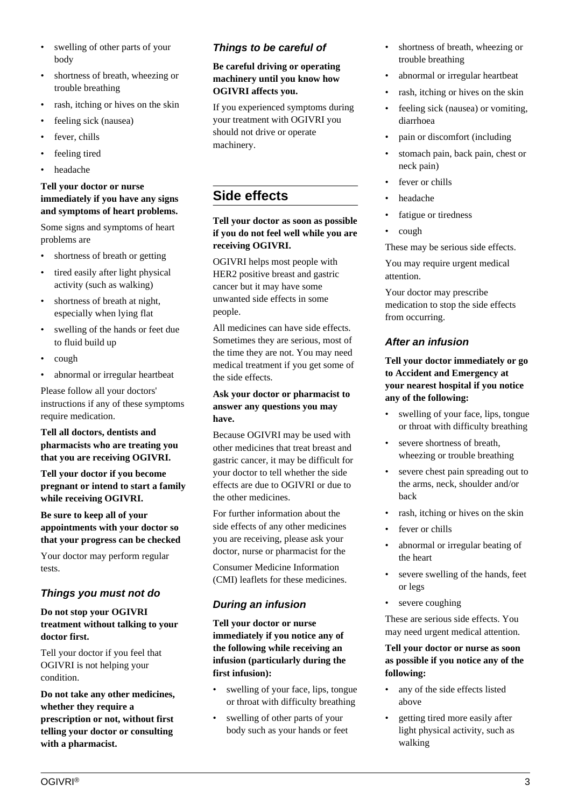- swelling of other parts of your body
- shortness of breath, wheezing or trouble breathing
- rash, itching or hives on the skin
- feeling sick (nausea)
- fever, chills
- feeling tired
- headache

### **Tell your doctor or nurse immediately if you have any signs and symptoms of heart problems.**

Some signs and symptoms of heart problems are

- shortness of breath or getting
- tired easily after light physical activity (such as walking)
- shortness of breath at night. especially when lying flat
- swelling of the hands or feet due to fluid build up
- cough
- abnormal or irregular heartbeat

Please follow all your doctors' instructions if any of these symptoms require medication.

### **Tell all doctors, dentists and pharmacists who are treating you that you are receiving OGIVRI.**

**Tell your doctor if you become pregnant or intend to start a family while receiving OGIVRI.**

**Be sure to keep all of your appointments with your doctor so that your progress can be checked**

Your doctor may perform regular tests.

## **Things you must not do**

#### **Do not stop your OGIVRI treatment without talking to your doctor first.**

Tell your doctor if you feel that OGIVRI is not helping your condition.

**Do not take any other medicines, whether they require a prescription or not, without first telling your doctor or consulting with a pharmacist.**

## **Things to be careful of**

**Be careful driving or operating machinery until you know how OGIVRI affects you.**

If you experienced symptoms during your treatment with OGIVRI you should not drive or operate machinery.

## **Side effects**

**Tell your doctor as soon as possible if you do not feel well while you are receiving OGIVRI.**

OGIVRI helps most people with HER2 positive breast and gastric cancer but it may have some unwanted side effects in some people.

All medicines can have side effects. Sometimes they are serious, most of the time they are not. You may need medical treatment if you get some of the side effects.

### **Ask your doctor or pharmacist to answer any questions you may have.**

Because OGIVRI may be used with other medicines that treat breast and gastric cancer, it may be difficult for your doctor to tell whether the side effects are due to OGIVRI or due to the other medicines.

For further information about the side effects of any other medicines you are receiving, please ask your doctor, nurse or pharmacist for the

Consumer Medicine Information (CMI) leaflets for these medicines.

## **During an infusion**

**Tell your doctor or nurse immediately if you notice any of the following while receiving an infusion (particularly during the first infusion):**

- swelling of your face, lips, tongue or throat with difficulty breathing
- swelling of other parts of your body such as your hands or feet
- shortness of breath, wheezing or trouble breathing
- abnormal or irregular heartbeat
- rash, itching or hives on the skin
- feeling sick (nausea) or vomiting, diarrhoea
- pain or discomfort (including
- stomach pain, back pain, chest or neck pain)
- fever or chills
- headache
- fatigue or tiredness
- cough

These may be serious side effects.

You may require urgent medical attention.

Your doctor may prescribe medication to stop the side effects from occurring.

## **After an infusion**

**Tell your doctor immediately or go to Accident and Emergency at your nearest hospital if you notice any of the following:**

- swelling of your face, lips, tongue or throat with difficulty breathing
- severe shortness of breath, wheezing or trouble breathing
- severe chest pain spreading out to the arms, neck, shoulder and/or back
- rash, itching or hives on the skin
- fever or chills
- abnormal or irregular beating of the heart
- severe swelling of the hands, feet or legs
- severe coughing

These are serious side effects. You may need urgent medical attention.

### **Tell your doctor or nurse as soon as possible if you notice any of the following:**

- any of the side effects listed above
- getting tired more easily after light physical activity, such as walking